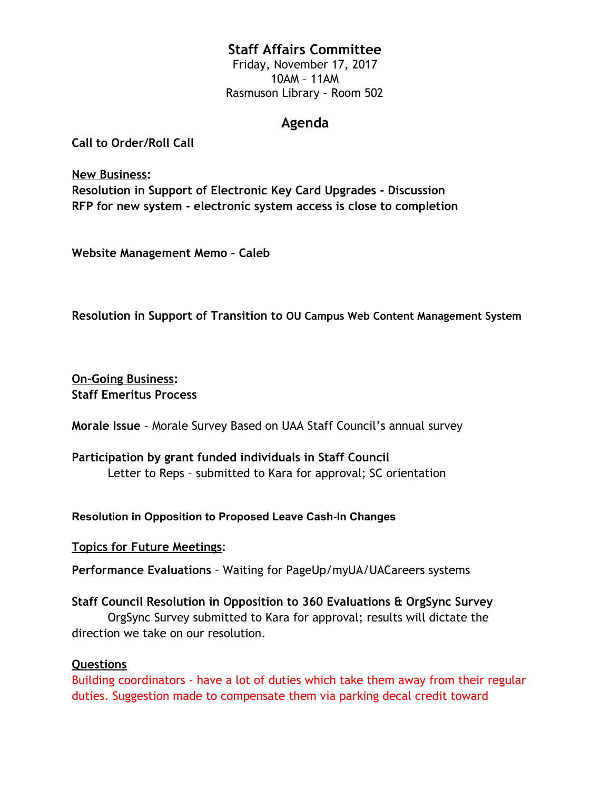### **Staff Affairs Committee**

Friday, November 17, 2017 10AM – 11AM Rasmuson Library – Room 502

### **Agenda**

**Call to Order/Roll Call**

**New Business: Resolution in Support of Electronic Key Card Upgrades - Discussion RFP for new system - electronic system access is close to completion**

**Website Management Memo – Caleb**

**Resolution in Support of Transition to OU Campus Web Content Management System**

**On-Going Business: Staff Emeritus Process**

**Morale Issue** – Morale Survey Based on UAA Staff Council's annual survey

**Participation by grant funded individuals in Staff Council** Letter to Reps – submitted to Kara for approval; SC orientation

#### **Resolution in Opposition to Proposed Leave Cash-In Changes**

**Topics for Future Meetings**:

**Performance Evaluations** – Waiting for PageUp/myUA/UACareers systems

### **Staff Council Resolution in Opposition to 360 Evaluations & OrgSync Survey**

OrgSync Survey submitted to Kara for approval; results will dictate the direction we take on our resolution.

### **Questions**

Building coordinators - have a lot of duties which take them away from their regular duties. Suggestion made to compensate them via parking decal credit toward